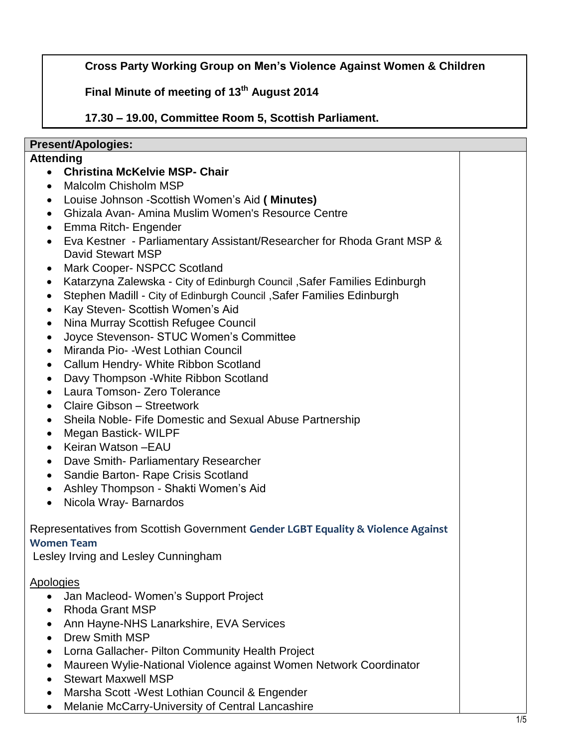**Cross Party Working Group on Men's Violence Against Women & Children**

**Final Minute of meeting of 13th August 2014**

**17.30 – 19.00, Committee Room 5, Scottish Parliament.**

## **Present/Apologies:**

## **Attending**

- **Christina McKelvie MSP- Chair**
- Malcolm Chisholm MSP
- Louise Johnson -Scottish Women's Aid **( Minutes)**
- Ghizala Avan- Amina Muslim Women's Resource Centre
- Emma Ritch- Engender
- Eva Kestner Parliamentary Assistant/Researcher for Rhoda Grant MSP & David Stewart MSP
- Mark Cooper- NSPCC Scotland
- Katarzyna Zalewska City of Edinburgh Council ,Safer Families Edinburgh
- Stephen Madill City of Edinburgh Council ,Safer Families Edinburgh
- Kay Steven- Scottish Women's Aid
- Nina Murray Scottish Refugee Council
- Joyce Stevenson- STUC Women's Committee
- Miranda Pio- *-*West Lothian Council
- Callum Hendry- White Ribbon Scotland
- Davy Thompson White Ribbon Scotland
- Laura Tomson- Zero Tolerance
- Claire Gibson Streetwork
- Sheila Noble- Fife Domestic and Sexual Abuse Partnership
- Megan Bastick- WILPF
- Keiran Watson EAU
- Dave Smith- Parliamentary Researcher
- Sandie Barton- Rape Crisis Scotland
- Ashley Thompson Shakti Women's Aid
- Nicola Wray-Barnardos

## Representatives from Scottish Government **Gender LGBT Equality & Violence Against Women Team**

Lesley Irving and Lesley Cunningham

## Apologies

- Jan Macleod- Women's Support Project
- Rhoda Grant MSP
- Ann Hayne-NHS Lanarkshire, EVA Services
- Drew Smith MSP
- Lorna Gallacher- Pilton Community Health Project
- Maureen Wylie-National Violence against Women Network Coordinator
- Stewart Maxwell MSP
- Marsha Scott *-*West Lothian Council & Engender
- Melanie McCarry-University of Central Lancashire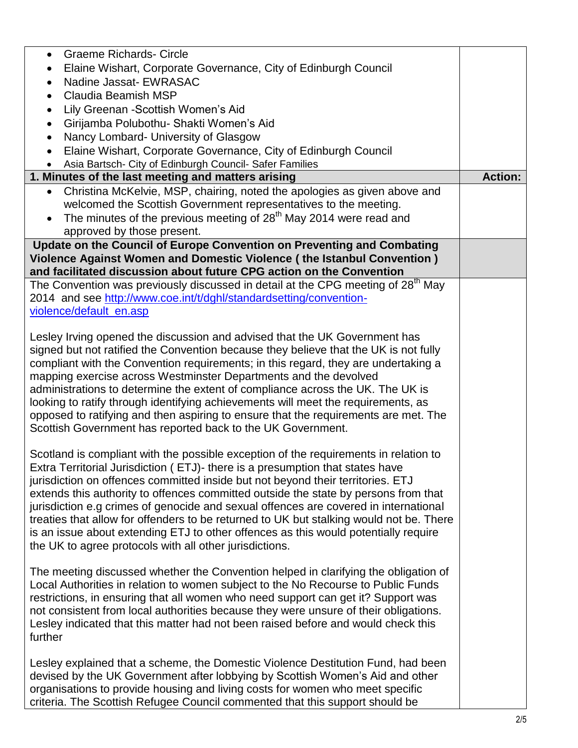| <b>Graeme Richards- Circle</b><br>$\bullet$                                                                                                                                    |                |
|--------------------------------------------------------------------------------------------------------------------------------------------------------------------------------|----------------|
| Elaine Wishart, Corporate Governance, City of Edinburgh Council<br>٠                                                                                                           |                |
| Nadine Jassat- EWRASAC<br>$\bullet$                                                                                                                                            |                |
| <b>Claudia Beamish MSP</b><br>$\bullet$                                                                                                                                        |                |
| Lily Greenan - Scottish Women's Aid<br>$\bullet$                                                                                                                               |                |
| Girijamba Polubothu- Shakti Women's Aid<br>$\bullet$                                                                                                                           |                |
| Nancy Lombard- University of Glasgow<br>$\bullet$                                                                                                                              |                |
| Elaine Wishart, Corporate Governance, City of Edinburgh Council<br>$\bullet$                                                                                                   |                |
| Asia Bartsch- City of Edinburgh Council- Safer Families                                                                                                                        |                |
| 1. Minutes of the last meeting and matters arising                                                                                                                             | <b>Action:</b> |
| Christina McKelvie, MSP, chairing, noted the apologies as given above and                                                                                                      |                |
| welcomed the Scottish Government representatives to the meeting.                                                                                                               |                |
| The minutes of the previous meeting of 28 <sup>th</sup> May 2014 were read and<br>$\bullet$                                                                                    |                |
| approved by those present.                                                                                                                                                     |                |
| Update on the Council of Europe Convention on Preventing and Combating                                                                                                         |                |
| Violence Against Women and Domestic Violence (the Istanbul Convention)                                                                                                         |                |
| and facilitated discussion about future CPG action on the Convention                                                                                                           |                |
| The Convention was previously discussed in detail at the CPG meeting of 28 <sup>th</sup> May                                                                                   |                |
| 2014 and see http://www.coe.int/t/dghl/standardsetting/convention-                                                                                                             |                |
| violence/default_en.asp                                                                                                                                                        |                |
|                                                                                                                                                                                |                |
| Lesley Irving opened the discussion and advised that the UK Government has                                                                                                     |                |
| signed but not ratified the Convention because they believe that the UK is not fully                                                                                           |                |
| compliant with the Convention requirements; in this regard, they are undertaking a                                                                                             |                |
| mapping exercise across Westminster Departments and the devolved                                                                                                               |                |
| administrations to determine the extent of compliance across the UK. The UK is                                                                                                 |                |
| looking to ratify through identifying achievements will meet the requirements, as                                                                                              |                |
| opposed to ratifying and then aspiring to ensure that the requirements are met. The                                                                                            |                |
| Scottish Government has reported back to the UK Government.                                                                                                                    |                |
|                                                                                                                                                                                |                |
| Scotland is compliant with the possible exception of the requirements in relation to                                                                                           |                |
| Extra Territorial Jurisdiction (ETJ)- there is a presumption that states have                                                                                                  |                |
| jurisdiction on offences committed inside but not beyond their territories. ETJ                                                                                                |                |
| extends this authority to offences committed outside the state by persons from that                                                                                            |                |
| jurisdiction e.g crimes of genocide and sexual offences are covered in international                                                                                           |                |
| treaties that allow for offenders to be returned to UK but stalking would not be. There<br>is an issue about extending ETJ to other offences as this would potentially require |                |
| the UK to agree protocols with all other jurisdictions.                                                                                                                        |                |
|                                                                                                                                                                                |                |
| The meeting discussed whether the Convention helped in clarifying the obligation of                                                                                            |                |
| Local Authorities in relation to women subject to the No Recourse to Public Funds                                                                                              |                |
| restrictions, in ensuring that all women who need support can get it? Support was                                                                                              |                |
| not consistent from local authorities because they were unsure of their obligations.                                                                                           |                |
| Lesley indicated that this matter had not been raised before and would check this                                                                                              |                |
| further                                                                                                                                                                        |                |
|                                                                                                                                                                                |                |
| Lesley explained that a scheme, the Domestic Violence Destitution Fund, had been                                                                                               |                |
| devised by the UK Government after lobbying by Scottish Women's Aid and other                                                                                                  |                |
| organisations to provide housing and living costs for women who meet specific                                                                                                  |                |
| criteria. The Scottish Refugee Council commented that this support should be                                                                                                   |                |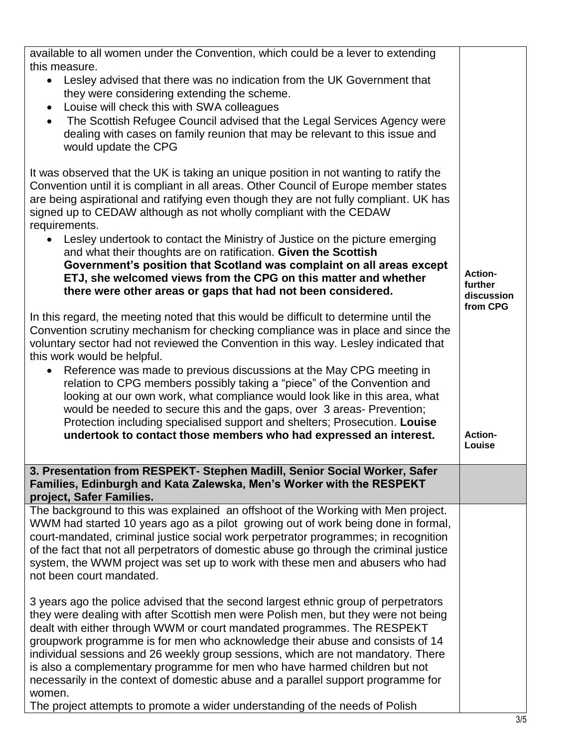| available to all women under the Convention, which could be a lever to extending                                                                                                                                                                                                                                                                                                                                                                                                                                                                                                                       |                                                     |
|--------------------------------------------------------------------------------------------------------------------------------------------------------------------------------------------------------------------------------------------------------------------------------------------------------------------------------------------------------------------------------------------------------------------------------------------------------------------------------------------------------------------------------------------------------------------------------------------------------|-----------------------------------------------------|
| this measure.<br>Lesley advised that there was no indication from the UK Government that<br>$\bullet$<br>they were considering extending the scheme.<br>Louise will check this with SWA colleagues                                                                                                                                                                                                                                                                                                                                                                                                     |                                                     |
| The Scottish Refugee Council advised that the Legal Services Agency were<br>$\bullet$<br>dealing with cases on family reunion that may be relevant to this issue and<br>would update the CPG                                                                                                                                                                                                                                                                                                                                                                                                           |                                                     |
| It was observed that the UK is taking an unique position in not wanting to ratify the<br>Convention until it is compliant in all areas. Other Council of Europe member states<br>are being aspirational and ratifying even though they are not fully compliant. UK has<br>signed up to CEDAW although as not wholly compliant with the CEDAW<br>requirements.                                                                                                                                                                                                                                          |                                                     |
| Lesley undertook to contact the Ministry of Justice on the picture emerging<br>and what their thoughts are on ratification. Given the Scottish<br>Government's position that Scotland was complaint on all areas except<br>ETJ, she welcomed views from the CPG on this matter and whether<br>there were other areas or gaps that had not been considered.                                                                                                                                                                                                                                             | <b>Action-</b><br>further<br>discussion<br>from CPG |
| In this regard, the meeting noted that this would be difficult to determine until the<br>Convention scrutiny mechanism for checking compliance was in place and since the<br>voluntary sector had not reviewed the Convention in this way. Lesley indicated that<br>this work would be helpful.<br>Reference was made to previous discussions at the May CPG meeting in<br>$\bullet$                                                                                                                                                                                                                   |                                                     |
| relation to CPG members possibly taking a "piece" of the Convention and<br>looking at our own work, what compliance would look like in this area, what<br>would be needed to secure this and the gaps, over 3 areas- Prevention;<br>Protection including specialised support and shelters; Prosecution. Louise<br>undertook to contact those members who had expressed an interest.                                                                                                                                                                                                                    | <b>Action-</b><br>Louise                            |
| 3. Presentation from RESPEKT- Stephen Madill, Senior Social Worker, Safer<br>Families, Edinburgh and Kata Zalewska, Men's Worker with the RESPEKT                                                                                                                                                                                                                                                                                                                                                                                                                                                      |                                                     |
| project, Safer Families.                                                                                                                                                                                                                                                                                                                                                                                                                                                                                                                                                                               |                                                     |
| The background to this was explained an offshoot of the Working with Men project.<br>WWM had started 10 years ago as a pilot growing out of work being done in formal,<br>court-mandated, criminal justice social work perpetrator programmes; in recognition<br>of the fact that not all perpetrators of domestic abuse go through the criminal justice<br>system, the WWM project was set up to work with these men and abusers who had<br>not been court mandated.                                                                                                                                  |                                                     |
| 3 years ago the police advised that the second largest ethnic group of perpetrators<br>they were dealing with after Scottish men were Polish men, but they were not being<br>dealt with either through WWM or court mandated programmes. The RESPEKT<br>groupwork programme is for men who acknowledge their abuse and consists of 14<br>individual sessions and 26 weekly group sessions, which are not mandatory. There<br>is also a complementary programme for men who have harmed children but not<br>necessarily in the context of domestic abuse and a parallel support programme for<br>women. |                                                     |
| The project attempts to promote a wider understanding of the needs of Polish                                                                                                                                                                                                                                                                                                                                                                                                                                                                                                                           |                                                     |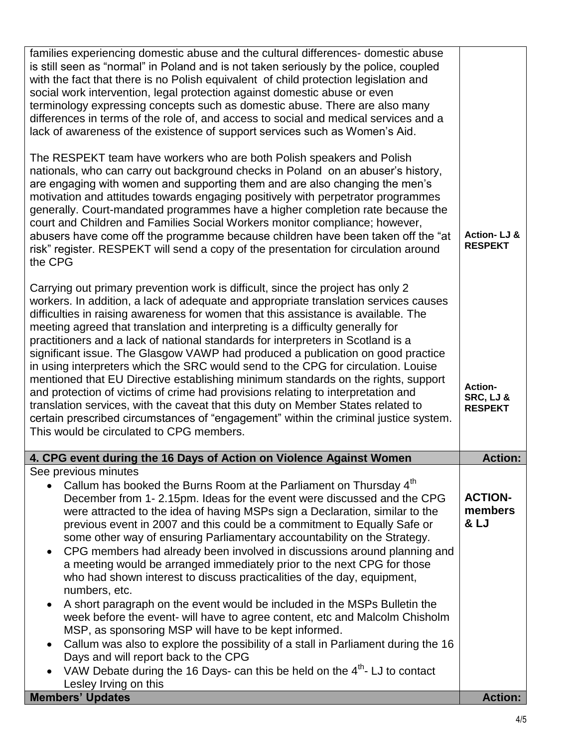| families experiencing domestic abuse and the cultural differences- domestic abuse<br>is still seen as "normal" in Poland and is not taken seriously by the police, coupled<br>with the fact that there is no Polish equivalent of child protection legislation and<br>social work intervention, legal protection against domestic abuse or even<br>terminology expressing concepts such as domestic abuse. There are also many<br>differences in terms of the role of, and access to social and medical services and a<br>lack of awareness of the existence of support services such as Women's Aid.<br>The RESPEKT team have workers who are both Polish speakers and Polish<br>nationals, who can carry out background checks in Poland on an abuser's history,<br>are engaging with women and supporting them and are also changing the men's<br>motivation and attitudes towards engaging positively with perpetrator programmes<br>generally. Court-mandated programmes have a higher completion rate because the<br>court and Children and Families Social Workers monitor compliance; however,<br>abusers have come off the programme because children have been taken off the "at<br>risk" register. RESPEKT will send a copy of the presentation for circulation around<br>the CPG | <b>Action-LJ &amp;</b><br><b>RESPEKT</b>     |
|----------------------------------------------------------------------------------------------------------------------------------------------------------------------------------------------------------------------------------------------------------------------------------------------------------------------------------------------------------------------------------------------------------------------------------------------------------------------------------------------------------------------------------------------------------------------------------------------------------------------------------------------------------------------------------------------------------------------------------------------------------------------------------------------------------------------------------------------------------------------------------------------------------------------------------------------------------------------------------------------------------------------------------------------------------------------------------------------------------------------------------------------------------------------------------------------------------------------------------------------------------------------------------------------|----------------------------------------------|
| Carrying out primary prevention work is difficult, since the project has only 2<br>workers. In addition, a lack of adequate and appropriate translation services causes<br>difficulties in raising awareness for women that this assistance is available. The<br>meeting agreed that translation and interpreting is a difficulty generally for<br>practitioners and a lack of national standards for interpreters in Scotland is a<br>significant issue. The Glasgow VAWP had produced a publication on good practice<br>in using interpreters which the SRC would send to the CPG for circulation. Louise<br>mentioned that EU Directive establishing minimum standards on the rights, support<br>and protection of victims of crime had provisions relating to interpretation and<br>translation services, with the caveat that this duty on Member States related to<br>certain prescribed circumstances of "engagement" within the criminal justice system.<br>This would be circulated to CPG members.                                                                                                                                                                                                                                                                                 | Action-<br>SRC, LJ &<br><b>RESPEKT</b>       |
| 4. CPG event during the 16 Days of Action on Violence Against Women                                                                                                                                                                                                                                                                                                                                                                                                                                                                                                                                                                                                                                                                                                                                                                                                                                                                                                                                                                                                                                                                                                                                                                                                                          | <b>Action:</b>                               |
| See previous minutes<br>Callum has booked the Burns Room at the Parliament on Thursday 4 <sup>th</sup><br>December from 1-2.15pm. Ideas for the event were discussed and the CPG<br>were attracted to the idea of having MSPs sign a Declaration, similar to the<br>previous event in 2007 and this could be a commitment to Equally Safe or<br>some other way of ensuring Parliamentary accountability on the Strategy.<br>CPG members had already been involved in discussions around planning and<br>$\bullet$<br>a meeting would be arranged immediately prior to the next CPG for those<br>who had shown interest to discuss practicalities of the day, equipment,<br>numbers, etc.<br>A short paragraph on the event would be included in the MSPs Bulletin the<br>$\bullet$<br>week before the event- will have to agree content, etc and Malcolm Chisholm<br>MSP, as sponsoring MSP will have to be kept informed.<br>Callum was also to explore the possibility of a stall in Parliament during the 16<br>$\bullet$                                                                                                                                                                                                                                                                 | <b>ACTION-</b><br>members<br><b>&amp; LJ</b> |
| Days and will report back to the CPG<br>VAW Debate during the 16 Days- can this be held on the 4 <sup>th</sup> - LJ to contact<br>Lesley Irving on this<br><b>Members' Updates</b>                                                                                                                                                                                                                                                                                                                                                                                                                                                                                                                                                                                                                                                                                                                                                                                                                                                                                                                                                                                                                                                                                                           | <b>Action:</b>                               |